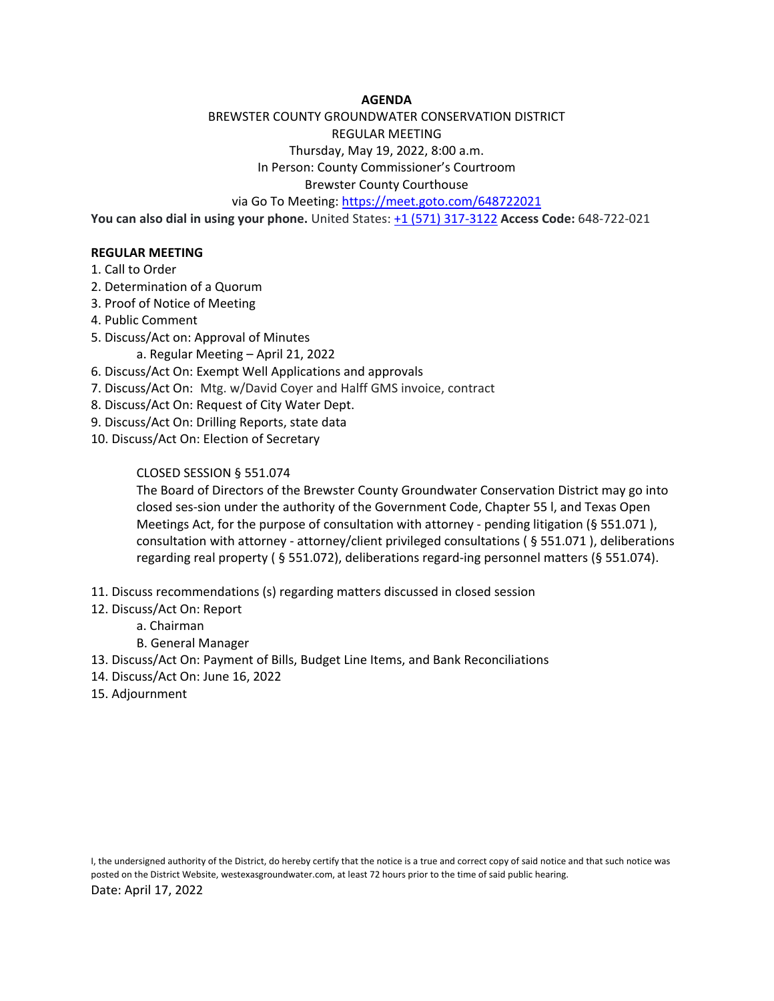## **AGENDA**

## BREWSTER COUNTY GROUNDWATER CONSERVATION DISTRICT REGULAR MEETING

Thursday, May 19, 2022, 8:00 a.m.

In Person: County Commissioner's Courtroom

Brewster County Courthouse

via Go To Meeting[: https://meet.goto.com/648722021](https://meet.goto.com/648722021)

**You can also dial in using your phone.** United States: [+1 \(571\) 317-3122](tel:+15713173122,,648722021) **Access Code:** 648-722-021

## **REGULAR MEETING**

- 1. Call to Order
- 2. Determination of a Quorum
- 3. Proof of Notice of Meeting
- 4. Public Comment
- 5. Discuss/Act on: Approval of Minutes
	- a. Regular Meeting April 21, 2022
- 6. Discuss/Act On: Exempt Well Applications and approvals
- 7. Discuss/Act On: Mtg. w/David Coyer and Halff GMS invoice, contract
- 8. Discuss/Act On: Request of City Water Dept.
- 9. Discuss/Act On: Drilling Reports, state data
- 10. Discuss/Act On: Election of Secretary

## CLOSED SESSION § 551.074

The Board of Directors of the Brewster County Groundwater Conservation District may go into closed ses-sion under the authority of the Government Code, Chapter 55 l, and Texas Open Meetings Act, for the purpose of consultation with attorney - pending litigation (§ 551.071 ), consultation with attorney - attorney/client privileged consultations ( § 551.071 ), deliberations regarding real property ( § 551.072), deliberations regard-ing personnel matters (§ 551.074).

- 11. Discuss recommendations (s) regarding matters discussed in closed session
- 12. Discuss/Act On: Report
	- a. Chairman
	- B. General Manager
- 13. Discuss/Act On: Payment of Bills, Budget Line Items, and Bank Reconciliations
- 14. Discuss/Act On: June 16, 2022
- 15. Adjournment